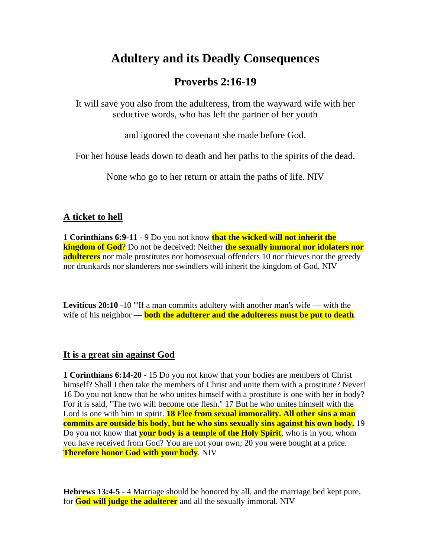# **Adultery and its Deadly Consequences**

# **Proverbs 2:16-19**

It will save you also from the adulteress, from the wayward wife with her seductive words, who has left the partner of her youth

and ignored the covenant she made before God.

For her house leads down to death and her paths to the spirits of the dead.

None who go to her return or attain the paths of life. NIV

## **A ticket to hell**

**1 Corinthians 6:9-11** - 9 Do you not know **that the wicked will not inherit the kingdom of God**? Do not be deceived: Neither **the sexually immoral nor idolaters nor adulterers** nor male prostitutes nor homosexual offenders 10 nor thieves nor the greedy nor drunkards nor slanderers nor swindlers will inherit the kingdom of God. NIV

**Leviticus 20:10** -10 "If a man commits adultery with another man's wife — with the wife of his neighbor — **both the adulterer and the adulteress must be put to death**.

## **It is a great sin against God**

**1 Corinthians 6:14-20** - 15 Do you not know that your bodies are members of Christ himself? Shall I then take the members of Christ and unite them with a prostitute? Never! 16 Do you not know that he who unites himself with a prostitute is one with her in body? For it is said, "The two will become one flesh." 17 But he who unites himself with the Lord is one with him in spirit. **18 Flee from sexual immorality. All other sins a man commits are outside his body, but he who sins sexually sins against his own body.** 19 Do you not know that **your body is a temple of the Holy Spirit**, who is in you, whom you have received from God? You are not your own; 20 you were bought at a price. **Therefore honor God with your body**. NIV

**Hebrews 13:4-5** - 4 Marriage should be honored by all, and the marriage bed kept pure, for **God will judge the adulterer** and all the sexually immoral. NIV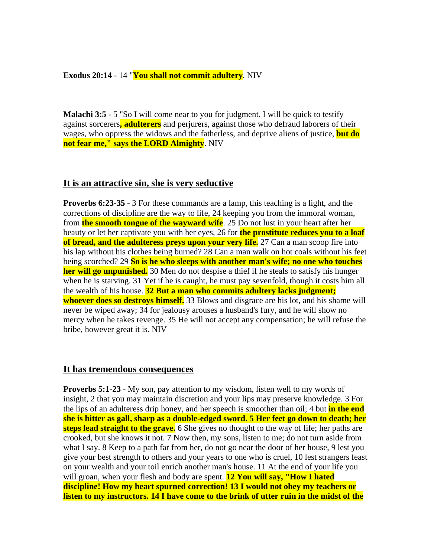#### **Exodus 20:14** - 14 "**You shall not commit adultery**. NIV

**Malachi 3:5** - 5 "So I will come near to you for judgment. I will be quick to testify against sorcerers**, adulterers** and perjurers, against those who defraud laborers of their wages, who oppress the widows and the fatherless, and deprive aliens of justice, **but do not fear me," says the LORD Almighty**. NIV

### **It is an attractive sin, she is very seductive**

**Proverbs 6:23-35** - 3 For these commands are a lamp, this teaching is a light, and the corrections of discipline are the way to life, 24 keeping you from the immoral woman, from **the smooth tongue of the wayward wife**. 25 Do not lust in your heart after her beauty or let her captivate you with her eyes, 26 for **the prostitute reduces you to a loaf of bread, and the adulteress preys upon your very life.** 27 Can a man scoop fire into his lap without his clothes being burned? 28 Can a man walk on hot coals without his feet being scorched? 29 **So is he who sleeps with another man's wife; no one who touches her will go unpunished.** 30 Men do not despise a thief if he steals to satisfy his hunger when he is starving. 31 Yet if he is caught, he must pay sevenfold, though it costs him all the wealth of his house. **32 But a man who commits adultery lacks judgment; whoever does so destroys himself.** 33 Blows and disgrace are his lot, and his shame will never be wiped away; 34 for jealousy arouses a husband's fury, and he will show no mercy when he takes revenge. 35 He will not accept any compensation; he will refuse the bribe, however great it is. NIV

#### **It has tremendous consequences**

**Proverbs 5:1-23** - My son, pay attention to my wisdom, listen well to my words of insight, 2 that you may maintain discretion and your lips may preserve knowledge. 3 For the lips of an adulteress drip honey, and her speech is smoother than oil; 4 but **in the end she is bitter as gall, sharp as a double-edged sword. 5 Her feet go down to death; her steps lead straight to the grave.** 6 She gives no thought to the way of life; her paths are crooked, but she knows it not. 7 Now then, my sons, listen to me; do not turn aside from what I say. 8 Keep to a path far from her, do not go near the door of her house, 9 lest you give your best strength to others and your years to one who is cruel, 10 lest strangers feast on your wealth and your toil enrich another man's house. 11 At the end of your life you will groan, when your flesh and body are spent. **12 You will say, "How I hated discipline! How my heart spurned correction! 13 I would not obey my teachers or listen to my instructors. 14 I have come to the brink of utter ruin in the midst of the**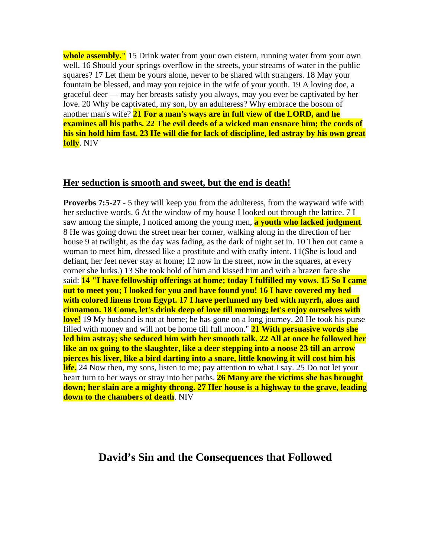**whole assembly."** 15 Drink water from your own cistern, running water from your own well. 16 Should your springs overflow in the streets, your streams of water in the public squares? 17 Let them be yours alone, never to be shared with strangers. 18 May your fountain be blessed, and may you rejoice in the wife of your youth. 19 A loving doe, a graceful deer — may her breasts satisfy you always, may you ever be captivated by her love. 20 Why be captivated, my son, by an adulteress? Why embrace the bosom of another man's wife? **21 For a man's ways are in full view of the LORD, and he examines all his paths. 22 The evil deeds of a wicked man ensnare him; the cords of his sin hold him fast. 23 He will die for lack of discipline, led astray by his own great folly**. NIV

### **Her seduction is smooth and sweet, but the end is death!**

**Proverbs 7:5-27** - 5 they will keep you from the adulteress, from the wayward wife with her seductive words. 6 At the window of my house I looked out through the lattice. 7 I saw among the simple, I noticed among the young men, **a youth who lacked judgment**. 8 He was going down the street near her corner, walking along in the direction of her house 9 at twilight, as the day was fading, as the dark of night set in. 10 Then out came a woman to meet him, dressed like a prostitute and with crafty intent. 11(She is loud and defiant, her feet never stay at home; 12 now in the street, now in the squares, at every corner she lurks.) 13 She took hold of him and kissed him and with a brazen face she said: **14 "I have fellowship offerings at home; today I fulfilled my vows. 15 So I came out to meet you; I looked for you and have found you! 16 I have covered my bed with colored linens from Egypt. 17 I have perfumed my bed with myrrh, aloes and cinnamon. 18 Come, let's drink deep of love till morning; let's enjoy ourselves with love!** 19 My husband is not at home; he has gone on a long journey. 20 He took his purse filled with money and will not be home till full moon." **21 With persuasive words she led him astray; she seduced him with her smooth talk. 22 All at once he followed her like an ox going to the slaughter, like a deer stepping into a noose 23 till an arrow pierces his liver, like a bird darting into a snare, little knowing it will cost him his life.** 24 Now then, my sons, listen to me; pay attention to what I say. 25 Do not let your heart turn to her ways or stray into her paths. **26 Many are the victims she has brought down; her slain are a mighty throng. 27 Her house is a highway to the grave, leading down to the chambers of death**. NIV

## **David's Sin and the Consequences that Followed**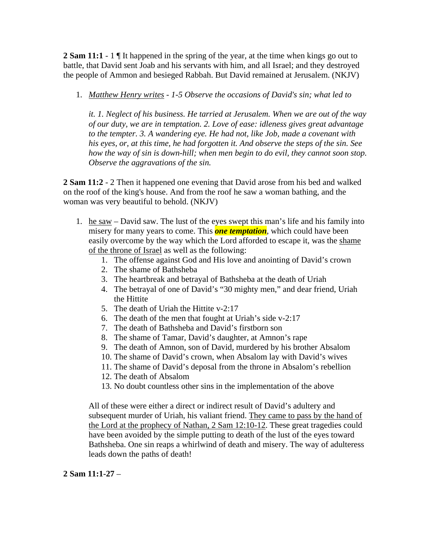**2 Sam 11:1** - 1  $\parallel$  It happened in the spring of the year, at the time when kings go out to battle, that David sent Joab and his servants with him, and all Israel; and they destroyed the people of Ammon and besieged Rabbah. But David remained at Jerusalem. (NKJV)

1. *Matthew Henry writes - 1-5 Observe the occasions of David's sin; what led to* 

*it. 1. Neglect of his business. He tarried at Jerusalem. When we are out of the way of our duty, we are in temptation. 2. Love of ease: idleness gives great advantage to the tempter. 3. A wandering eye. He had not, like Job, made a covenant with his eyes, or, at this time, he had forgotten it. And observe the steps of the sin. See how the way of sin is down-hill; when men begin to do evil, they cannot soon stop. Observe the aggravations of the sin.*

**2 Sam 11:2** - 2 Then it happened one evening that David arose from his bed and walked on the roof of the king's house. And from the roof he saw a woman bathing, and the woman was very beautiful to behold. (NKJV)

- 1. he saw David saw. The lust of the eyes swept this man's life and his family into misery for many years to come. This *one temptation*, which could have been easily overcome by the way which the Lord afforded to escape it, was the shame of the throne of Israel as well as the following:
	- 1. The offense against God and His love and anointing of David's crown
	- 2. The shame of Bathsheba
	- 3. The heartbreak and betrayal of Bathsheba at the death of Uriah
	- 4. The betrayal of one of David's "30 mighty men," and dear friend, Uriah the Hittite
	- 5. The death of Uriah the Hittite v-2:17
	- 6. The death of the men that fought at Uriah's side v-2:17
	- 7. The death of Bathsheba and David's firstborn son
	- 8. The shame of Tamar, David's daughter, at Amnon's rape
	- 9. The death of Amnon, son of David, murdered by his brother Absalom
	- 10. The shame of David's crown, when Absalom lay with David's wives
	- 11. The shame of David's deposal from the throne in Absalom's rebellion
	- 12. The death of Absalom
	- 13. No doubt countless other sins in the implementation of the above

All of these were either a direct or indirect result of David's adultery and subsequent murder of Uriah, his valiant friend. They came to pass by the hand of the Lord at the prophecy of Nathan, 2 Sam 12:10-12. These great tragedies could have been avoided by the simple putting to death of the lust of the eyes toward Bathsheba. One sin reaps a whirlwind of death and misery. The way of adulteress leads down the paths of death!

## **2 Sam 11:1-27** –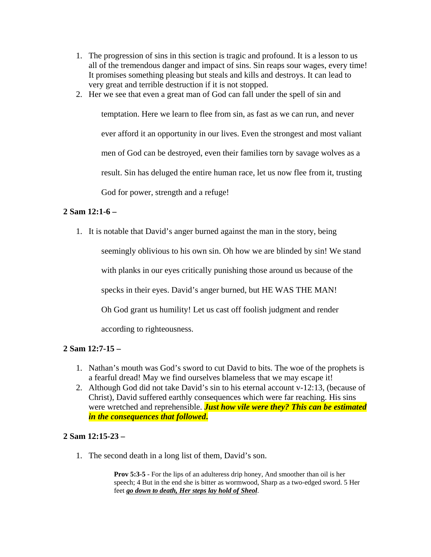- 1. The progression of sins in this section is tragic and profound. It is a lesson to us all of the tremendous danger and impact of sins. Sin reaps sour wages, every time! It promises something pleasing but steals and kills and destroys. It can lead to very great and terrible destruction if it is not stopped.
- 2. Her we see that even a great man of God can fall under the spell of sin and

temptation. Here we learn to flee from sin, as fast as we can run, and never ever afford it an opportunity in our lives. Even the strongest and most valiant men of God can be destroyed, even their families torn by savage wolves as a result. Sin has deluged the entire human race, let us now flee from it, trusting God for power, strength and a refuge!

### **2 Sam 12:1-6 –**

1. It is notable that David's anger burned against the man in the story, being

seemingly oblivious to his own sin. Oh how we are blinded by sin! We stand with planks in our eyes critically punishing those around us because of the specks in their eyes. David's anger burned, but HE WAS THE MAN! Oh God grant us humility! Let us cast off foolish judgment and render according to righteousness.

### **2 Sam 12:7-15 –**

- 1. Nathan's mouth was God's sword to cut David to bits. The woe of the prophets is a fearful dread! May we find ourselves blameless that we may escape it!
- 2. Although God did not take David's sin to his eternal account v-12:13, (because of Christ), David suffered earthly consequences which were far reaching. His sins were wretched and reprehensible. *Just how vile were they? This can be estimated in the consequences that followed***.**

### **2 Sam 12:15-23 –**

1. The second death in a long list of them, David's son.

**Prov 5:3-5** - For the lips of an adulteress drip honey, And smoother than oil is her speech; 4 But in the end she is bitter as wormwood, Sharp as a two-edged sword. 5 Her feet *go down to death, Her steps lay hold of Sheol*.